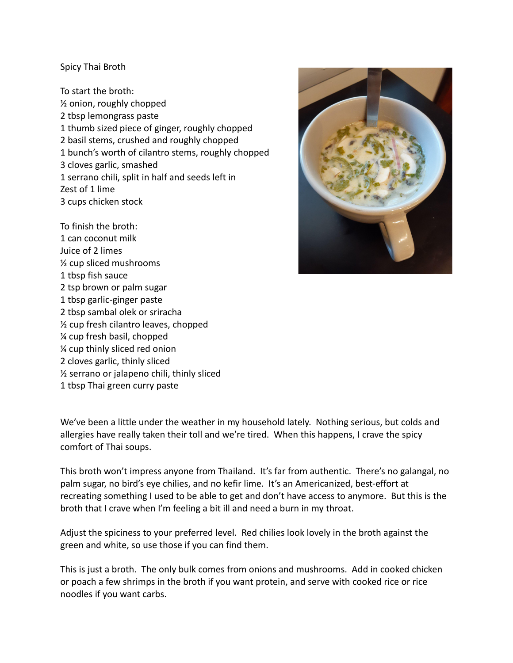## Spicy Thai Broth

To start the broth: ½ onion, roughly chopped 2 tbsp lemongrass paste 1 thumb sized piece of ginger, roughly chopped 2 basil stems, crushed and roughly chopped 1 bunch's worth of cilantro stems, roughly chopped 3 cloves garlic, smashed 1 serrano chili, split in half and seeds left in Zest of 1 lime 3 cups chicken stock

To finish the broth: 1 can coconut milk Juice of 2 limes ½ cup sliced mushrooms 1 tbsp fish sauce 2 tsp brown or palm sugar 1 tbsp garlic-ginger paste 2 tbsp sambal olek or sriracha ½ cup fresh cilantro leaves, chopped ¼ cup fresh basil, chopped ¼ cup thinly sliced red onion 2 cloves garlic, thinly sliced ½ serrano or jalapeno chili, thinly sliced 1 tbsp Thai green curry paste



We've been a little under the weather in my household lately. Nothing serious, but colds and allergies have really taken their toll and we're tired. When this happens, I crave the spicy comfort of Thai soups.

This broth won't impress anyone from Thailand. It's far from authentic. There's no galangal, no palm sugar, no bird's eye chilies, and no kefir lime. It's an Americanized, best-effort at recreating something I used to be able to get and don't have access to anymore. But this is the broth that I crave when I'm feeling a bit ill and need a burn in my throat.

Adjust the spiciness to your preferred level. Red chilies look lovely in the broth against the green and white, so use those if you can find them.

This is just a broth. The only bulk comes from onions and mushrooms. Add in cooked chicken or poach a few shrimps in the broth if you want protein, and serve with cooked rice or rice noodles if you want carbs.